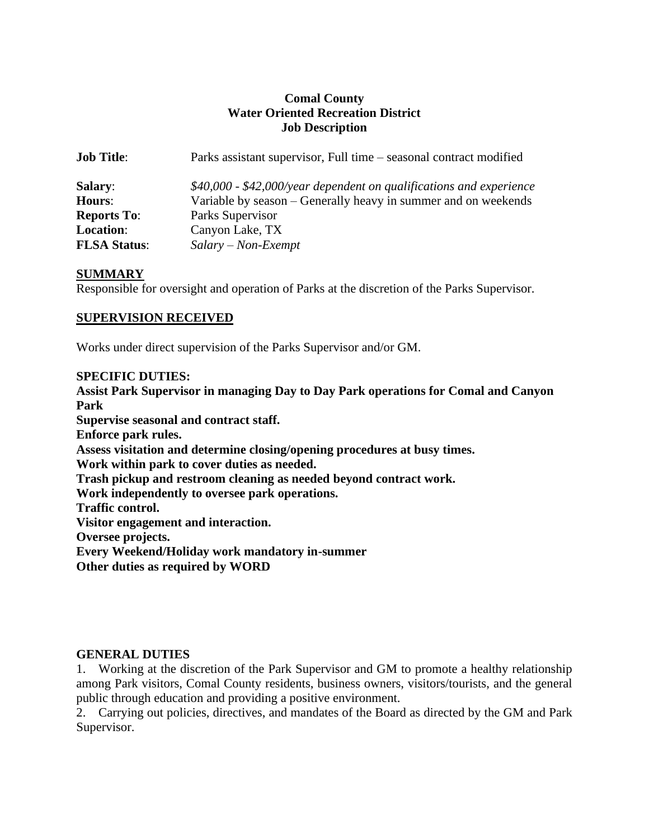# **Comal County Water Oriented Recreation District Job Description**

| <b>Job Title:</b>   | Parks assistant supervisor, Full time – seasonal contract modified   |
|---------------------|----------------------------------------------------------------------|
| <b>Salary:</b>      | $$40,000$ - \$42,000/year dependent on qualifications and experience |
| <b>Hours:</b>       | Variable by season – Generally heavy in summer and on weekends       |
| <b>Reports To:</b>  | Parks Supervisor                                                     |
| Location:           | Canyon Lake, TX                                                      |
| <b>FLSA Status:</b> | $Salary - Non-Exempt$                                                |

# **SUMMARY**

Responsible for oversight and operation of Parks at the discretion of the Parks Supervisor.

### **SUPERVISION RECEIVED**

Works under direct supervision of the Parks Supervisor and/or GM.

#### **SPECIFIC DUTIES:**

**Assist Park Supervisor in managing Day to Day Park operations for Comal and Canyon Park Supervise seasonal and contract staff. Enforce park rules. Assess visitation and determine closing/opening procedures at busy times. Work within park to cover duties as needed. Trash pickup and restroom cleaning as needed beyond contract work. Work independently to oversee park operations. Traffic control. Visitor engagement and interaction. Oversee projects. Every Weekend/Holiday work mandatory in-summer Other duties as required by WORD**

#### **GENERAL DUTIES**

1. Working at the discretion of the Park Supervisor and GM to promote a healthy relationship among Park visitors, Comal County residents, business owners, visitors/tourists, and the general public through education and providing a positive environment.

2. Carrying out policies, directives, and mandates of the Board as directed by the GM and Park Supervisor.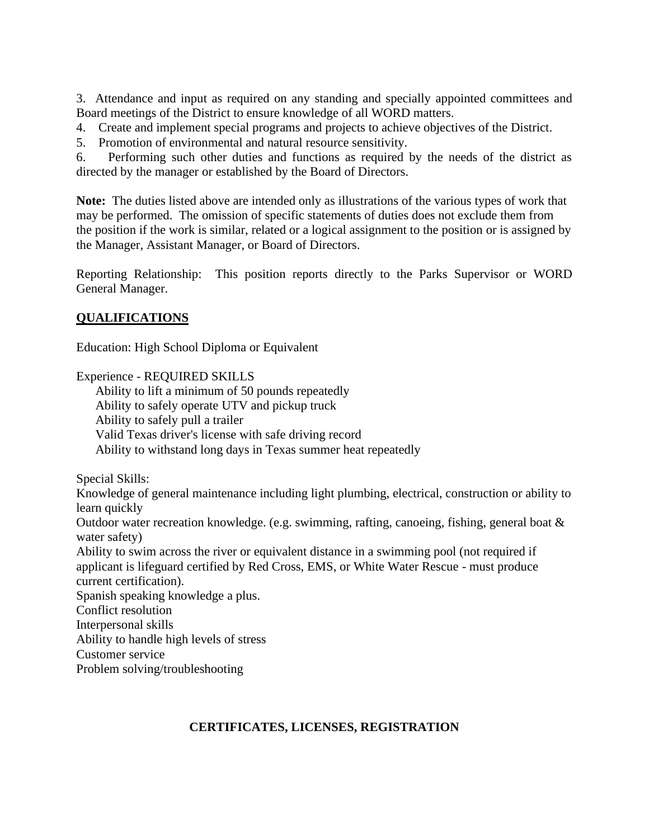3. Attendance and input as required on any standing and specially appointed committees and Board meetings of the District to ensure knowledge of all WORD matters.

4. Create and implement special programs and projects to achieve objectives of the District.

5. Promotion of environmental and natural resource sensitivity.

6. Performing such other duties and functions as required by the needs of the district as directed by the manager or established by the Board of Directors.

**Note:** The duties listed above are intended only as illustrations of the various types of work that may be performed. The omission of specific statements of duties does not exclude them from the position if the work is similar, related or a logical assignment to the position or is assigned by the Manager, Assistant Manager, or Board of Directors.

Reporting Relationship: This position reports directly to the Parks Supervisor or WORD General Manager.

# **QUALIFICATIONS**

Education: High School Diploma or Equivalent

Experience - REQUIRED SKILLS

Ability to lift a minimum of 50 pounds repeatedly Ability to safely operate UTV and pickup truck Ability to safely pull a trailer Valid Texas driver's license with safe driving record Ability to withstand long days in Texas summer heat repeatedly

Special Skills:

Knowledge of general maintenance including light plumbing, electrical, construction or ability to learn quickly

Outdoor water recreation knowledge. (e.g. swimming, rafting, canoeing, fishing, general boat & water safety)

Ability to swim across the river or equivalent distance in a swimming pool (not required if applicant is lifeguard certified by Red Cross, EMS, or White Water Rescue - must produce current certification).

Spanish speaking knowledge a plus. Conflict resolution

Interpersonal skills

Ability to handle high levels of stress

Customer service

Problem solving/troubleshooting

# **CERTIFICATES, LICENSES, REGISTRATION**